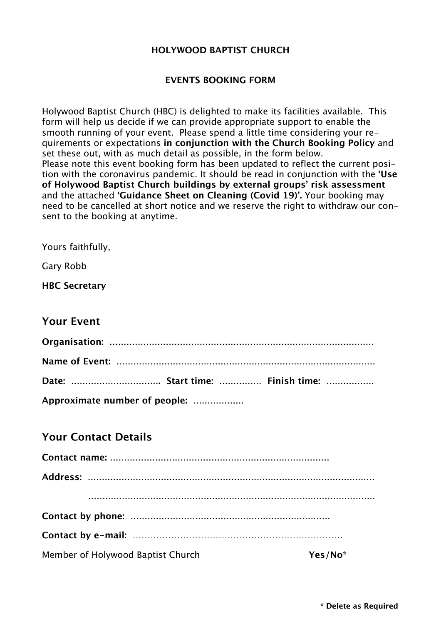#### **HOLYWOOD BAPTIST CHURCH**

#### **EVENTS BOOKING FORM**

Holywood Baptist Church (HBC) is delighted to make its facilities available. This form will help us decide if we can provide appropriate support to enable the smooth running of your event. Please spend a little time considering your requirements or expectations **in conjunction with the Church Booking Policy** and set these out, with as much detail as possible, in the form below. Please note this event booking form has been updated to reflect the current position with the coronavirus pandemic. It should be read in conjunction with the **'Use of Holywood Baptist Church buildings by external groups' risk assessment** and the attached **'Guidance Sheet on Cleaning (Covid 19)'.** Your booking may need to be cancelled at short notice and we reserve the right to withdraw our consent to the booking at anytime.

Yours faithfully,

Gary Robb

**HBC Secretary**

## **Your Event**

| Date:  Start time:  Finish time: |  |  |
|----------------------------------|--|--|
| Approximate number of people:    |  |  |

### **Your Contact Details**

| Member of Holywood Baptist Church | Yes/No* |
|-----------------------------------|---------|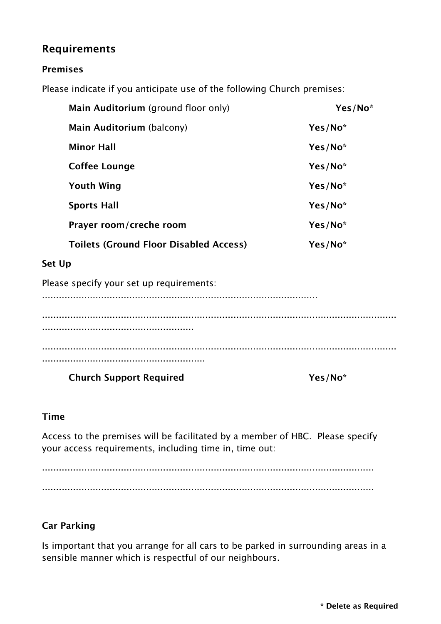# **Requirements**

#### **Premises**

Please indicate if you anticipate use of the following Church premises:

| Main Auditorium (ground floor only)           | Yes/No <sup>*</sup> |
|-----------------------------------------------|---------------------|
| Main Auditorium (balcony)                     | Yes/No*             |
| <b>Minor Hall</b>                             | Yes/No*             |
| <b>Coffee Lounge</b>                          | Yes/No*             |
| <b>Youth Wing</b>                             | Yes/No <sup>*</sup> |
| <b>Sports Hall</b>                            | Yes/No <sup>*</sup> |
| Prayer room/creche room                       | Yes/No*             |
| <b>Toilets (Ground Floor Disabled Access)</b> | Yes/No*             |

### **Set Up**

Please specify your set up requirements:

..................................................................................................

.............................................................................................................................. ...................................................... .............................................................................................................................. ..........................................................

**Church Support Required Yes/No\***

### **Time**

Access to the premises will be facilitated by a member of HBC. Please specify your access requirements, including time in, time out:

...................................................................................................................... ......................................................................................................................

## **Car Parking**

Is important that you arrange for all cars to be parked in surrounding areas in a sensible manner which is respectful of our neighbours.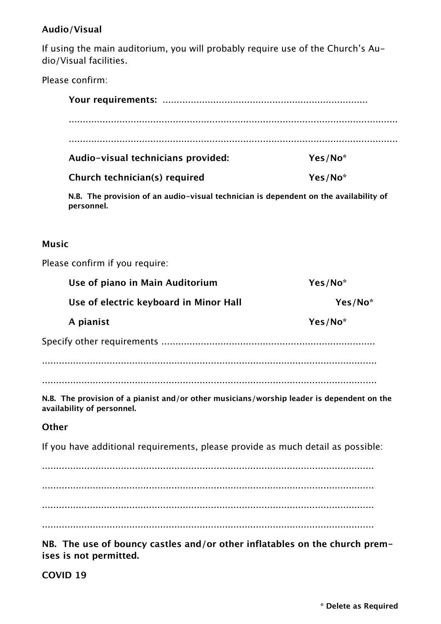## **Audio/Visual**

If using the main auditorium, you will probably require use of the Church's Audio/Visual facilities.

Please confirm:

| Audio-visual technicians provided: | Yes/No <sup>*</sup> |
|------------------------------------|---------------------|
| Church technician(s) required      | Yes/No <sup>*</sup> |

**N.B. The provision of an audio-visual technician is dependent on the availability of personnel.**

#### **Music**

Please confirm if you require:

| Use of piano in Main Auditorium                                                                                         | Yes/No* |  |
|-------------------------------------------------------------------------------------------------------------------------|---------|--|
| Use of electric keyboard in Minor Hall                                                                                  | Yes/No* |  |
| A pianist                                                                                                               | Yes/No* |  |
|                                                                                                                         |         |  |
|                                                                                                                         |         |  |
|                                                                                                                         |         |  |
| N.B. The provision of a pianist and/or other musicians/worship leader is dependent on the<br>availability of personnel. |         |  |
| Other                                                                                                                   |         |  |
| If you have additional requirements, please provide as much detail as possible:                                         |         |  |
|                                                                                                                         |         |  |

...................................................................................................................... ...................................................................................................................... ...................................................................................................................... ......................................................................................................................

**NB. The use of bouncy castles and/or other inflatables on the church premises is not permitted.**

**COVID 19**